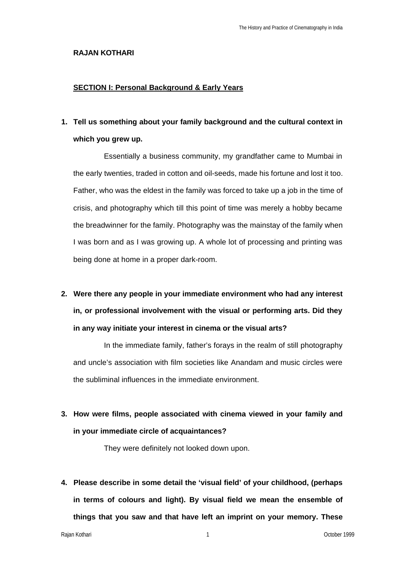#### **RAJAN KOTHARI**

### **SECTION I: Personal Background & Early Years**

# **1. Tell us something about your family background and the cultural context in which you grew up.**

Essentially a business community, my grandfather came to Mumbai in the early twenties, traded in cotton and oil-seeds, made his fortune and lost it too. Father, who was the eldest in the family was forced to take up a job in the time of crisis, and photography which till this point of time was merely a hobby became the breadwinner for the family. Photography was the mainstay of the family when I was born and as I was growing up. A whole lot of processing and printing was being done at home in a proper dark-room.

# **2. Were there any people in your immediate environment who had any interest in, or professional involvement with the visual or performing arts. Did they in any way initiate your interest in cinema or the visual arts?**

In the immediate family, father's forays in the realm of still photography and uncle's association with film societies like Anandam and music circles were the subliminal influences in the immediate environment.

**3. How were films, people associated with cinema viewed in your family and in your immediate circle of acquaintances?** 

They were definitely not looked down upon.

**4. Please describe in some detail the 'visual field' of your childhood, (perhaps in terms of colours and light). By visual field we mean the ensemble of things that you saw and that have left an imprint on your memory. These**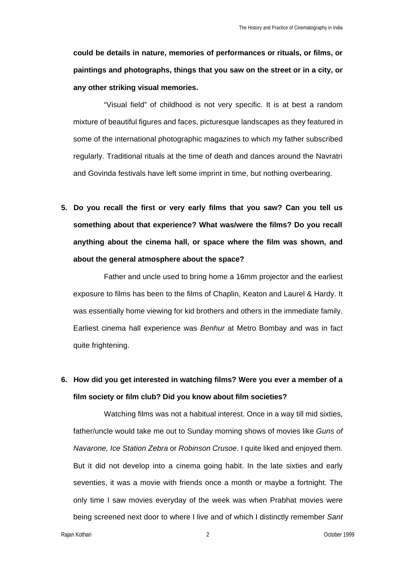**could be details in nature, memories of performances or rituals, or films, or paintings and photographs, things that you saw on the street or in a city, or any other striking visual memories.** 

"Visual field" of childhood is not very specific. It is at best a random mixture of beautiful figures and faces, picturesque landscapes as they featured in some of the international photographic magazines to which my father subscribed regularly. Traditional rituals at the time of death and dances around the Navratri and Govinda festivals have left some imprint in time, but nothing overbearing.

**5. Do you recall the first or very early films that you saw? Can you tell us something about that experience? What was/were the films? Do you recall anything about the cinema hall, or space where the film was shown, and about the general atmosphere about the space?** 

Father and uncle used to bring home a 16mm projector and the earliest exposure to films has been to the films of Chaplin, Keaton and Laurel & Hardy. It was essentially home viewing for kid brothers and others in the immediate family. Earliest cinema hall experience was *Benhur* at Metro Bombay and was in fact quite frightening.

# **6. How did you get interested in watching films? Were you ever a member of a film society or film club? Did you know about film societies?**

Watching films was not a habitual interest. Once in a way till mid sixties, father/uncle would take me out to Sunday morning shows of movies like *Guns of Navarone, Ice Station Zebra* or *Robinson Crusoe*. I quite liked and enjoyed them. But it did not develop into a cinema going habit. In the late sixties and early seventies, it was a movie with friends once a month or maybe a fortnight. The only time I saw movies everyday of the week was when Prabhat movies were being screened next door to where I live and of which I distinctly remember *Sant*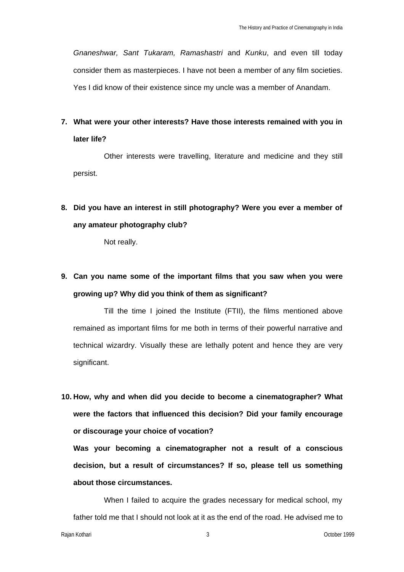*Gnaneshwar, Sant Tukaram, Ramashastri* and *Kunku*, and even till today consider them as masterpieces. I have not been a member of any film societies. Yes I did know of their existence since my uncle was a member of Anandam.

**7. What were your other interests? Have those interests remained with you in later life?**

Other interests were travelling, literature and medicine and they still persist.

**8. Did you have an interest in still photography? Were you ever a member of any amateur photography club?** 

Not really.

# **9. Can you name some of the important films that you saw when you were growing up? Why did you think of them as significant?**

Till the time I joined the Institute (FTII), the films mentioned above remained as important films for me both in terms of their powerful narrative and technical wizardry. Visually these are lethally potent and hence they are very significant.

**10. How, why and when did you decide to become a cinematographer? What were the factors that influenced this decision? Did your family encourage or discourage your choice of vocation?**

**Was your becoming a cinematographer not a result of a conscious decision, but a result of circumstances? If so, please tell us something about those circumstances.**

When I failed to acquire the grades necessary for medical school, my father told me that I should not look at it as the end of the road. He advised me to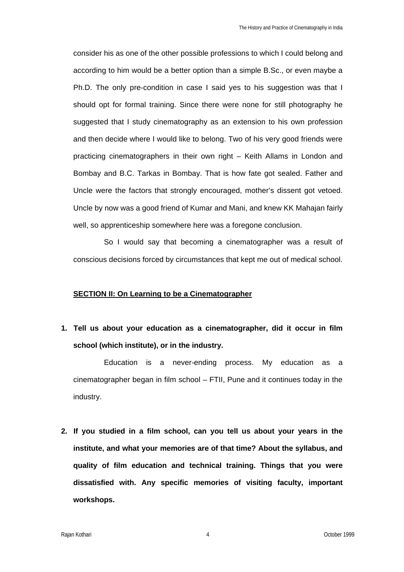consider his as one of the other possible professions to which I could belong and according to him would be a better option than a simple B.Sc., or even maybe a Ph.D. The only pre-condition in case I said yes to his suggestion was that I should opt for formal training. Since there were none for still photography he suggested that I study cinematography as an extension to his own profession and then decide where I would like to belong. Two of his very good friends were practicing cinematographers in their own right – Keith Allams in London and Bombay and B.C. Tarkas in Bombay. That is how fate got sealed. Father and Uncle were the factors that strongly encouraged, mother's dissent got vetoed. Uncle by now was a good friend of Kumar and Mani, and knew KK Mahajan fairly well, so apprenticeship somewhere here was a foregone conclusion.

So I would say that becoming a cinematographer was a result of conscious decisions forced by circumstances that kept me out of medical school.

### **SECTION II: On Learning to be a Cinematographer**

**1. Tell us about your education as a cinematographer, did it occur in film school (which institute), or in the industry.** 

Education is a never-ending process. My education as a cinematographer began in film school – FTII, Pune and it continues today in the industry.

**2. If you studied in a film school, can you tell us about your years in the institute, and what your memories are of that time? About the syllabus, and quality of film education and technical training. Things that you were dissatisfied with. Any specific memories of visiting faculty, important workshops.**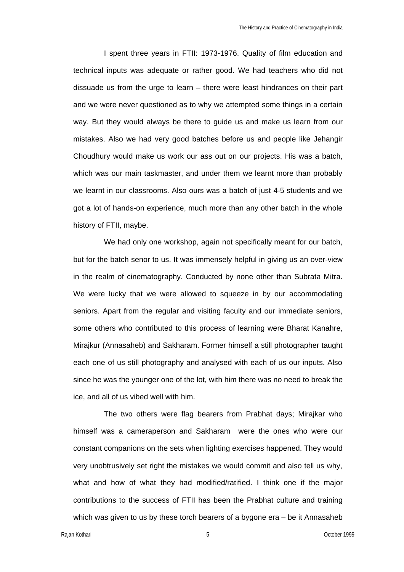I spent three years in FTII: 1973-1976. Quality of film education and technical inputs was adequate or rather good. We had teachers who did not dissuade us from the urge to learn – there were least hindrances on their part and we were never questioned as to why we attempted some things in a certain way. But they would always be there to guide us and make us learn from our mistakes. Also we had very good batches before us and people like Jehangir Choudhury would make us work our ass out on our projects. His was a batch, which was our main taskmaster, and under them we learnt more than probably we learnt in our classrooms. Also ours was a batch of just 4-5 students and we got a lot of hands-on experience, much more than any other batch in the whole history of FTII, maybe.

We had only one workshop, again not specifically meant for our batch, but for the batch senor to us. It was immensely helpful in giving us an over-view in the realm of cinematography. Conducted by none other than Subrata Mitra. We were lucky that we were allowed to squeeze in by our accommodating seniors. Apart from the regular and visiting faculty and our immediate seniors, some others who contributed to this process of learning were Bharat Kanahre, Mirajkur (Annasaheb) and Sakharam. Former himself a still photographer taught each one of us still photography and analysed with each of us our inputs. Also since he was the younger one of the lot, with him there was no need to break the ice, and all of us vibed well with him.

The two others were flag bearers from Prabhat days; Mirajkar who himself was a cameraperson and Sakharam were the ones who were our constant companions on the sets when lighting exercises happened. They would very unobtrusively set right the mistakes we would commit and also tell us why, what and how of what they had modified/ratified. I think one if the major contributions to the success of FTII has been the Prabhat culture and training which was given to us by these torch bearers of a bygone era – be it Annasaheb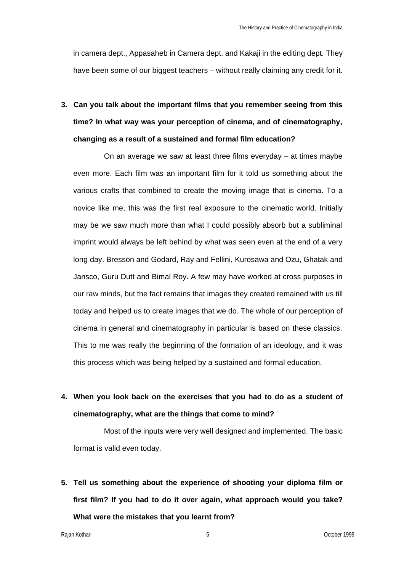in camera dept., Appasaheb in Camera dept. and Kakaji in the editing dept. They have been some of our biggest teachers – without really claiming any credit for it.

**3. Can you talk about the important films that you remember seeing from this time? In what way was your perception of cinema, and of cinematography, changing as a result of a sustained and formal film education?** 

On an average we saw at least three films everyday – at times maybe even more. Each film was an important film for it told us something about the various crafts that combined to create the moving image that is cinema. To a novice like me, this was the first real exposure to the cinematic world. Initially may be we saw much more than what I could possibly absorb but a subliminal imprint would always be left behind by what was seen even at the end of a very long day. Bresson and Godard, Ray and Fellini, Kurosawa and Ozu, Ghatak and Jansco, Guru Dutt and Bimal Roy. A few may have worked at cross purposes in our raw minds, but the fact remains that images they created remained with us till today and helped us to create images that we do. The whole of our perception of cinema in general and cinematography in particular is based on these classics. This to me was really the beginning of the formation of an ideology, and it was this process which was being helped by a sustained and formal education.

# **4. When you look back on the exercises that you had to do as a student of cinematography, what are the things that come to mind?**

Most of the inputs were very well designed and implemented. The basic format is valid even today.

**5. Tell us something about the experience of shooting your diploma film or first film? If you had to do it over again, what approach would you take? What were the mistakes that you learnt from?**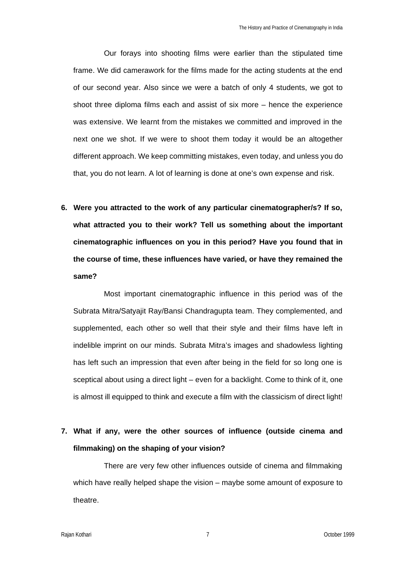Our forays into shooting films were earlier than the stipulated time frame. We did camerawork for the films made for the acting students at the end of our second year. Also since we were a batch of only 4 students, we got to shoot three diploma films each and assist of six more – hence the experience was extensive. We learnt from the mistakes we committed and improved in the next one we shot. If we were to shoot them today it would be an altogether different approach. We keep committing mistakes, even today, and unless you do that, you do not learn. A lot of learning is done at one's own expense and risk.

**6. Were you attracted to the work of any particular cinematographer/s? If so, what attracted you to their work? Tell us something about the important cinematographic influences on you in this period? Have you found that in the course of time, these influences have varied, or have they remained the same?** 

Most important cinematographic influence in this period was of the Subrata Mitra/Satyajit Ray/Bansi Chandragupta team. They complemented, and supplemented, each other so well that their style and their films have left in indelible imprint on our minds. Subrata Mitra's images and shadowless lighting has left such an impression that even after being in the field for so long one is sceptical about using a direct light – even for a backlight. Come to think of it, one is almost ill equipped to think and execute a film with the classicism of direct light!

## **7. What if any, were the other sources of influence (outside cinema and filmmaking) on the shaping of your vision?**

There are very few other influences outside of cinema and filmmaking which have really helped shape the vision – maybe some amount of exposure to theatre.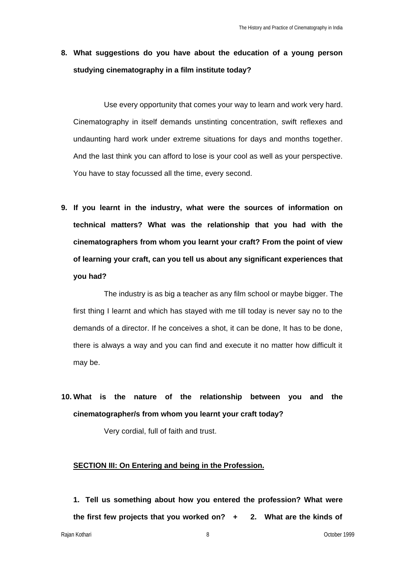**8. What suggestions do you have about the education of a young person studying cinematography in a film institute today?** 

Use every opportunity that comes your way to learn and work very hard. Cinematography in itself demands unstinting concentration, swift reflexes and undaunting hard work under extreme situations for days and months together. And the last think you can afford to lose is your cool as well as your perspective. You have to stay focussed all the time, every second.

**9. If you learnt in the industry, what were the sources of information on technical matters? What was the relationship that you had with the cinematographers from whom you learnt your craft? From the point of view of learning your craft, can you tell us about any significant experiences that you had?** 

The industry is as big a teacher as any film school or maybe bigger. The first thing I learnt and which has stayed with me till today is never say no to the demands of a director. If he conceives a shot, it can be done, It has to be done, there is always a way and you can find and execute it no matter how difficult it may be.

**10. What is the nature of the relationship between you and the cinematographer/s from whom you learnt your craft today?**

Very cordial, full of faith and trust.

### **SECTION III: On Entering and being in the Profession.**

**1. Tell us something about how you entered the profession? What were the first few projects that you worked on? + 2. What are the kinds of**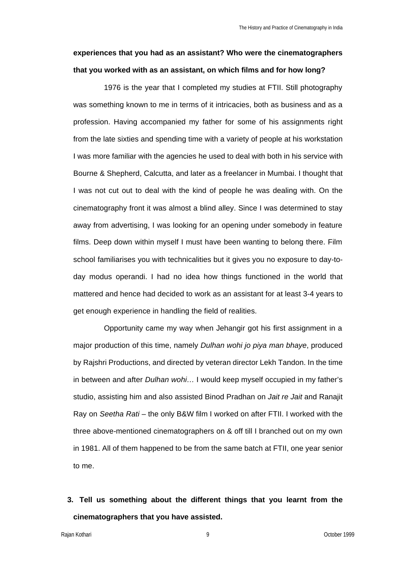## **experiences that you had as an assistant? Who were the cinematographers that you worked with as an assistant, on which films and for how long?**

1976 is the year that I completed my studies at FTII. Still photography was something known to me in terms of it intricacies, both as business and as a profession. Having accompanied my father for some of his assignments right from the late sixties and spending time with a variety of people at his workstation I was more familiar with the agencies he used to deal with both in his service with Bourne & Shepherd, Calcutta, and later as a freelancer in Mumbai. I thought that I was not cut out to deal with the kind of people he was dealing with. On the cinematography front it was almost a blind alley. Since I was determined to stay away from advertising, I was looking for an opening under somebody in feature films. Deep down within myself I must have been wanting to belong there. Film school familiarises you with technicalities but it gives you no exposure to day-today modus operandi. I had no idea how things functioned in the world that mattered and hence had decided to work as an assistant for at least 3-4 years to get enough experience in handling the field of realities.

Opportunity came my way when Jehangir got his first assignment in a major production of this time, namely *Dulhan wohi jo piya man bhaye*, produced by Rajshri Productions, and directed by veteran director Lekh Tandon. In the time in between and after *Dulhan wohi…* I would keep myself occupied in my father's studio, assisting him and also assisted Binod Pradhan on *Jait re Jait* and Ranajit Ray on *Seetha Rati* – the only B&W film I worked on after FTII. I worked with the three above-mentioned cinematographers on & off till I branched out on my own in 1981. All of them happened to be from the same batch at FTII, one year senior to me.

**3. Tell us something about the different things that you learnt from the cinematographers that you have assisted.**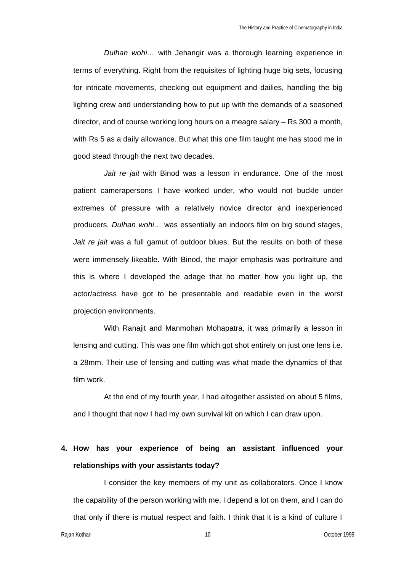*Dulhan wohi…* with Jehangir was a thorough learning experience in terms of everything. Right from the requisites of lighting huge big sets, focusing for intricate movements, checking out equipment and dailies, handling the big lighting crew and understanding how to put up with the demands of a seasoned director, and of course working long hours on a meagre salary – Rs 300 a month, with Rs 5 as a daily allowance. But what this one film taught me has stood me in good stead through the next two decades.

*Jait re jait* with Binod was a lesson in endurance. One of the most patient camerapersons I have worked under, who would not buckle under extremes of pressure with a relatively novice director and inexperienced producers. *Dulhan wohi…* was essentially an indoors film on big sound stages, *Jait re jait* was a full gamut of outdoor blues. But the results on both of these were immensely likeable. With Binod, the major emphasis was portraiture and this is where I developed the adage that no matter how you light up, the actor/actress have got to be presentable and readable even in the worst projection environments.

With Ranajit and Manmohan Mohapatra, it was primarily a lesson in lensing and cutting. This was one film which got shot entirely on just one lens i.e. a 28mm. Their use of lensing and cutting was what made the dynamics of that film work.

At the end of my fourth year, I had altogether assisted on about 5 films, and I thought that now I had my own survival kit on which I can draw upon.

### **4. How has your experience of being an assistant influenced your relationships with your assistants today?**

I consider the key members of my unit as collaborators. Once I know the capability of the person working with me, I depend a lot on them, and I can do that only if there is mutual respect and faith. I think that it is a kind of culture I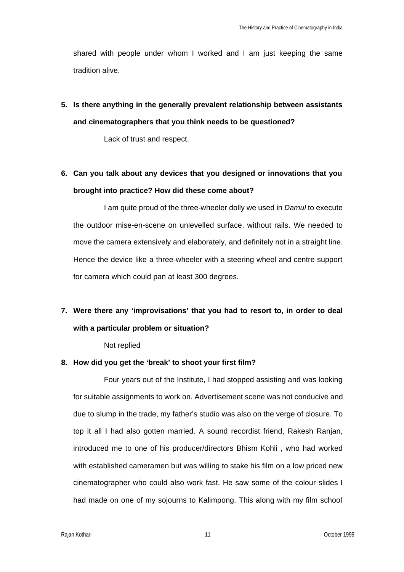shared with people under whom I worked and I am just keeping the same tradition alive.

**5. Is there anything in the generally prevalent relationship between assistants and cinematographers that you think needs to be questioned?** 

Lack of trust and respect.

**6. Can you talk about any devices that you designed or innovations that you brought into practice? How did these come about?** 

I am quite proud of the three-wheeler dolly we used in *Damul* to execute the outdoor mise-en-scene on unlevelled surface, without rails. We needed to move the camera extensively and elaborately, and definitely not in a straight line. Hence the device like a three-wheeler with a steering wheel and centre support for camera which could pan at least 300 degrees.

# **7. Were there any 'improvisations' that you had to resort to, in order to deal with a particular problem or situation?**

Not replied

### **8. How did you get the 'break' to shoot your first film?**

Four years out of the Institute, I had stopped assisting and was looking for suitable assignments to work on. Advertisement scene was not conducive and due to slump in the trade, my father's studio was also on the verge of closure. To top it all I had also gotten married. A sound recordist friend, Rakesh Ranjan, introduced me to one of his producer/directors Bhism Kohli , who had worked with established cameramen but was willing to stake his film on a low priced new cinematographer who could also work fast. He saw some of the colour slides I had made on one of my sojourns to Kalimpong. This along with my film school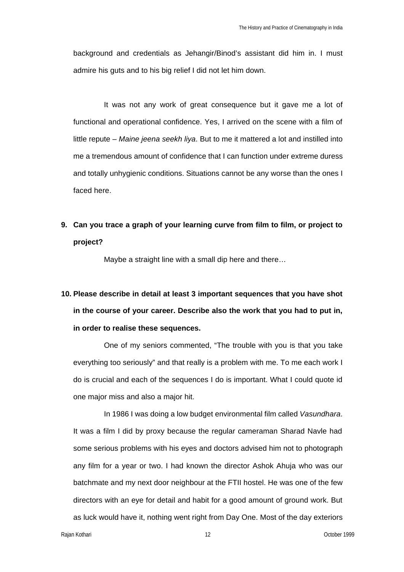background and credentials as Jehangir/Binod's assistant did him in. I must admire his guts and to his big relief I did not let him down.

It was not any work of great consequence but it gave me a lot of functional and operational confidence. Yes, I arrived on the scene with a film of little repute – *Maine jeena seekh liya*. But to me it mattered a lot and instilled into me a tremendous amount of confidence that I can function under extreme duress and totally unhygienic conditions. Situations cannot be any worse than the ones I faced here.

**9. Can you trace a graph of your learning curve from film to film, or project to project?** 

Maybe a straight line with a small dip here and there...

# **10. Please describe in detail at least 3 important sequences that you have shot in the course of your career. Describe also the work that you had to put in, in order to realise these sequences.**

One of my seniors commented, "The trouble with you is that you take everything too seriously" and that really is a problem with me. To me each work I do is crucial and each of the sequences I do is important. What I could quote id one major miss and also a major hit.

In 1986 I was doing a low budget environmental film called *Vasundhara*. It was a film I did by proxy because the regular cameraman Sharad Navle had some serious problems with his eyes and doctors advised him not to photograph any film for a year or two. I had known the director Ashok Ahuja who was our batchmate and my next door neighbour at the FTII hostel. He was one of the few directors with an eye for detail and habit for a good amount of ground work. But as luck would have it, nothing went right from Day One. Most of the day exteriors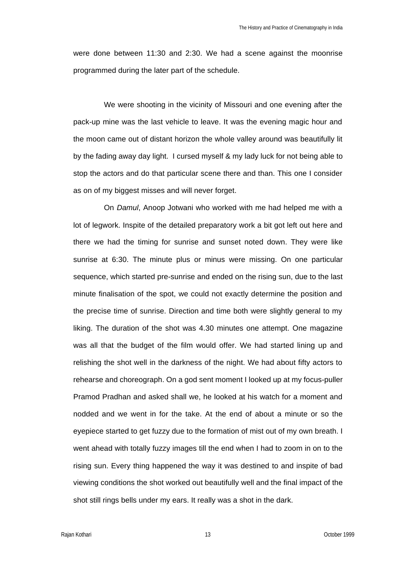were done between 11:30 and 2:30. We had a scene against the moonrise programmed during the later part of the schedule.

We were shooting in the vicinity of Missouri and one evening after the pack-up mine was the last vehicle to leave. It was the evening magic hour and the moon came out of distant horizon the whole valley around was beautifully lit by the fading away day light. I cursed myself & my lady luck for not being able to stop the actors and do that particular scene there and than. This one I consider as on of my biggest misses and will never forget.

On *Damul*, Anoop Jotwani who worked with me had helped me with a lot of legwork. Inspite of the detailed preparatory work a bit got left out here and there we had the timing for sunrise and sunset noted down. They were like sunrise at 6:30. The minute plus or minus were missing. On one particular sequence, which started pre-sunrise and ended on the rising sun, due to the last minute finalisation of the spot, we could not exactly determine the position and the precise time of sunrise. Direction and time both were slightly general to my liking. The duration of the shot was 4.30 minutes one attempt. One magazine was all that the budget of the film would offer. We had started lining up and relishing the shot well in the darkness of the night. We had about fifty actors to rehearse and choreograph. On a god sent moment I looked up at my focus-puller Pramod Pradhan and asked shall we, he looked at his watch for a moment and nodded and we went in for the take. At the end of about a minute or so the eyepiece started to get fuzzy due to the formation of mist out of my own breath. I went ahead with totally fuzzy images till the end when I had to zoom in on to the rising sun. Every thing happened the way it was destined to and inspite of bad viewing conditions the shot worked out beautifully well and the final impact of the shot still rings bells under my ears. It really was a shot in the dark.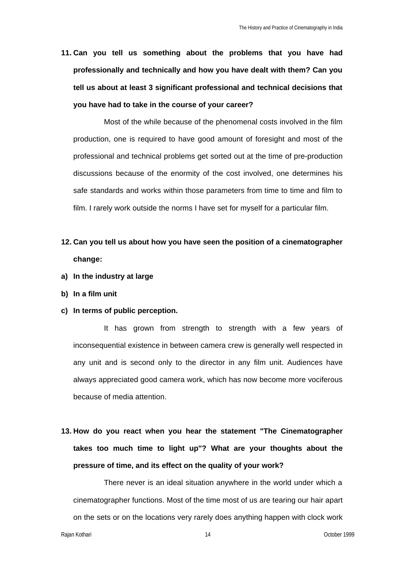**11. Can you tell us something about the problems that you have had professionally and technically and how you have dealt with them? Can you tell us about at least 3 significant professional and technical decisions that you have had to take in the course of your career?** 

Most of the while because of the phenomenal costs involved in the film production, one is required to have good amount of foresight and most of the professional and technical problems get sorted out at the time of pre-production discussions because of the enormity of the cost involved, one determines his safe standards and works within those parameters from time to time and film to film. I rarely work outside the norms I have set for myself for a particular film.

- **12. Can you tell us about how you have seen the position of a cinematographer change:**
- **a) In the industry at large**
- **b) In a film unit**
- **c) In terms of public perception.**

It has grown from strength to strength with a few years of inconsequential existence in between camera crew is generally well respected in any unit and is second only to the director in any film unit. Audiences have always appreciated good camera work, which has now become more vociferous because of media attention.

**13. How do you react when you hear the statement "The Cinematographer takes too much time to light up"? What are your thoughts about the pressure of time, and its effect on the quality of your work?**

There never is an ideal situation anywhere in the world under which a cinematographer functions. Most of the time most of us are tearing our hair apart on the sets or on the locations very rarely does anything happen with clock work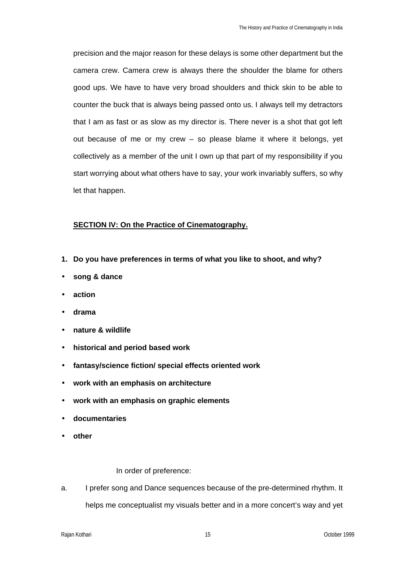precision and the major reason for these delays is some other department but the camera crew. Camera crew is always there the shoulder the blame for others good ups. We have to have very broad shoulders and thick skin to be able to counter the buck that is always being passed onto us. I always tell my detractors that I am as fast or as slow as my director is. There never is a shot that got left out because of me or my crew – so please blame it where it belongs, yet collectively as a member of the unit I own up that part of my responsibility if you start worrying about what others have to say, your work invariably suffers, so why let that happen.

### **SECTION IV: On the Practice of Cinematography.**

- **1. Do you have preferences in terms of what you like to shoot, and why?**
- **song & dance**
- **action**
- **drama**
- **nature & wildlife**
- **historical and period based work**
- **fantasy/science fiction/ special effects oriented work**
- **work with an emphasis on architecture**
- **work with an emphasis on graphic elements**
- **documentaries**
- **other**

In order of preference:

a. I prefer song and Dance sequences because of the pre-determined rhythm. It helps me conceptualist my visuals better and in a more concert's way and yet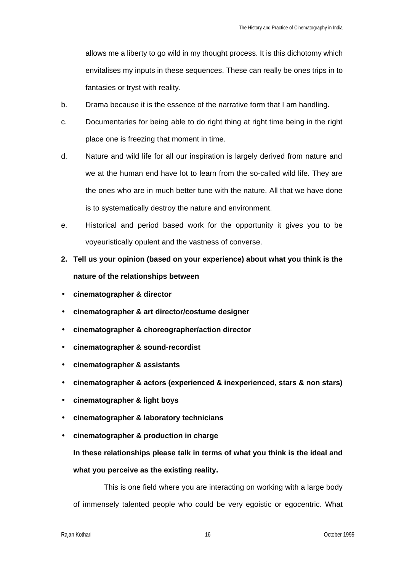allows me a liberty to go wild in my thought process. It is this dichotomy which envitalises my inputs in these sequences. These can really be ones trips in to fantasies or tryst with reality.

- b. Drama because it is the essence of the narrative form that I am handling.
- c. Documentaries for being able to do right thing at right time being in the right place one is freezing that moment in time.
- d. Nature and wild life for all our inspiration is largely derived from nature and we at the human end have lot to learn from the so-called wild life. They are the ones who are in much better tune with the nature. All that we have done is to systematically destroy the nature and environment.
- e. Historical and period based work for the opportunity it gives you to be voyeuristically opulent and the vastness of converse.
- **2. Tell us your opinion (based on your experience) about what you think is the nature of the relationships between**
- **cinematographer & director**
- **cinematographer & art director/costume designer**
- **cinematographer & choreographer/action director**
- **cinematographer & sound-recordist**
- **cinematographer & assistants**
- **cinematographer & actors (experienced & inexperienced, stars & non stars)**
- **cinematographer & light boys**
- **cinematographer & laboratory technicians**
- **cinematographer & production in charge**

**In these relationships please talk in terms of what you think is the ideal and what you perceive as the existing reality.**

This is one field where you are interacting on working with a large body of immensely talented people who could be very egoistic or egocentric. What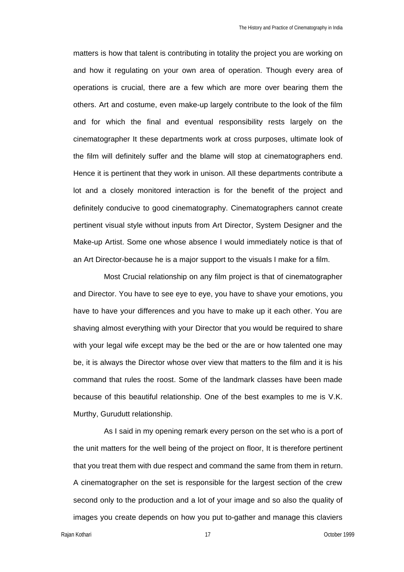matters is how that talent is contributing in totality the project you are working on and how it regulating on your own area of operation. Though every area of operations is crucial, there are a few which are more over bearing them the others. Art and costume, even make-up largely contribute to the look of the film and for which the final and eventual responsibility rests largely on the cinematographer It these departments work at cross purposes, ultimate look of the film will definitely suffer and the blame will stop at cinematographers end. Hence it is pertinent that they work in unison. All these departments contribute a lot and a closely monitored interaction is for the benefit of the project and definitely conducive to good cinematography. Cinematographers cannot create pertinent visual style without inputs from Art Director, System Designer and the Make-up Artist. Some one whose absence I would immediately notice is that of an Art Director-because he is a major support to the visuals I make for a film.

Most Crucial relationship on any film project is that of cinematographer and Director. You have to see eye to eye, you have to shave your emotions, you have to have your differences and you have to make up it each other. You are shaving almost everything with your Director that you would be required to share with your legal wife except may be the bed or the are or how talented one may be, it is always the Director whose over view that matters to the film and it is his command that rules the roost. Some of the landmark classes have been made because of this beautiful relationship. One of the best examples to me is V.K. Murthy, Gurudutt relationship.

As I said in my opening remark every person on the set who is a port of the unit matters for the well being of the project on floor, It is therefore pertinent that you treat them with due respect and command the same from them in return. A cinematographer on the set is responsible for the largest section of the crew second only to the production and a lot of your image and so also the quality of images you create depends on how you put to-gather and manage this claviers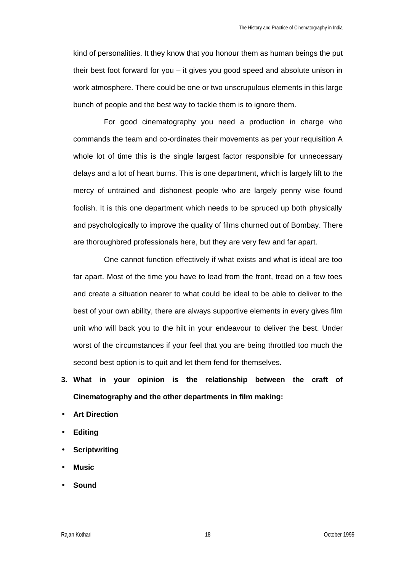kind of personalities. It they know that you honour them as human beings the put their best foot forward for you – it gives you good speed and absolute unison in work atmosphere. There could be one or two unscrupulous elements in this large bunch of people and the best way to tackle them is to ignore them.

For good cinematography you need a production in charge who commands the team and co-ordinates their movements as per your requisition A whole lot of time this is the single largest factor responsible for unnecessary delays and a lot of heart burns. This is one department, which is largely lift to the mercy of untrained and dishonest people who are largely penny wise found foolish. It is this one department which needs to be spruced up both physically and psychologically to improve the quality of films churned out of Bombay. There are thoroughbred professionals here, but they are very few and far apart.

One cannot function effectively if what exists and what is ideal are too far apart. Most of the time you have to lead from the front, tread on a few toes and create a situation nearer to what could be ideal to be able to deliver to the best of your own ability, there are always supportive elements in every gives film unit who will back you to the hilt in your endeavour to deliver the best. Under worst of the circumstances if your feel that you are being throttled too much the second best option is to quit and let them fend for themselves.

- **3. What in your opinion is the relationship between the craft of Cinematography and the other departments in film making:**
- **Art Direction**
- **Editing**
- **Scriptwriting**
- **Music**
- **Sound**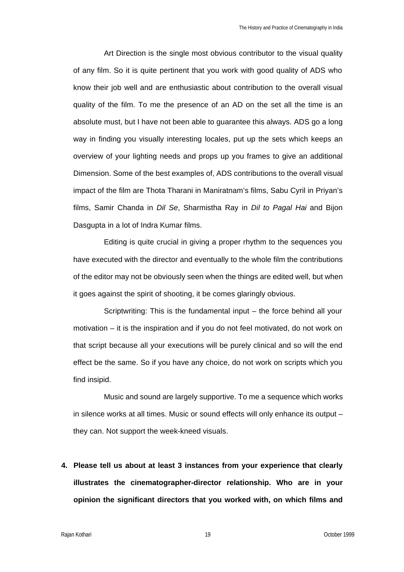Art Direction is the single most obvious contributor to the visual quality of any film. So it is quite pertinent that you work with good quality of ADS who know their job well and are enthusiastic about contribution to the overall visual quality of the film. To me the presence of an AD on the set all the time is an absolute must, but I have not been able to guarantee this always. ADS go a long way in finding you visually interesting locales, put up the sets which keeps an overview of your lighting needs and props up you frames to give an additional Dimension. Some of the best examples of, ADS contributions to the overall visual impact of the film are Thota Tharani in Maniratnam's films, Sabu Cyril in Priyan's films, Samir Chanda in *Dil Se*, Sharmistha Ray in *Dil to Pagal Hai* and Bijon Dasgupta in a lot of Indra Kumar films.

Editing is quite crucial in giving a proper rhythm to the sequences you have executed with the director and eventually to the whole film the contributions of the editor may not be obviously seen when the things are edited well, but when it goes against the spirit of shooting, it be comes glaringly obvious.

Scriptwriting: This is the fundamental input – the force behind all your motivation – it is the inspiration and if you do not feel motivated, do not work on that script because all your executions will be purely clinical and so will the end effect be the same. So if you have any choice, do not work on scripts which you find insipid.

Music and sound are largely supportive. To me a sequence which works in silence works at all times. Music or sound effects will only enhance its output – they can. Not support the week-kneed visuals.

**4. Please tell us about at least 3 instances from your experience that clearly illustrates the cinematographer-director relationship. Who are in your opinion the significant directors that you worked with, on which films and**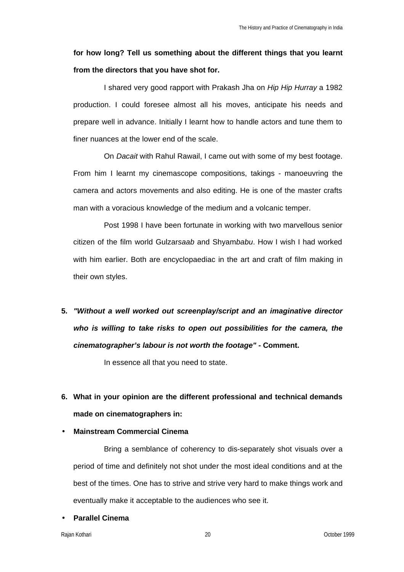# **for how long? Tell us something about the different things that you learnt from the directors that you have shot for.**

I shared very good rapport with Prakash Jha on *Hip Hip Hurray* a 1982 production. I could foresee almost all his moves, anticipate his needs and prepare well in advance. Initially I learnt how to handle actors and tune them to finer nuances at the lower end of the scale.

On *Dacait* with Rahul Rawail, I came out with some of my best footage. From him I learnt my cinemascope compositions, takings - manoeuvring the camera and actors movements and also editing. He is one of the master crafts man with a voracious knowledge of the medium and a volcanic temper.

Post 1998 I have been fortunate in working with two marvellous senior citizen of the film world Gulzar*saab* and Shyam*babu*. How I wish I had worked with him earlier. Both are encyclopaediac in the art and craft of film making in their own styles.

**5.** *"Without a well worked out screenplay/script and an imaginative director who is willing to take risks to open out possibilities for the camera, the cinematographer's labour is not worth the footage"* **- Comment.** 

In essence all that you need to state.

**6. What in your opinion are the different professional and technical demands made on cinematographers in:**

### • **Mainstream Commercial Cinema**

Bring a semblance of coherency to dis-separately shot visuals over a period of time and definitely not shot under the most ideal conditions and at the best of the times. One has to strive and strive very hard to make things work and eventually make it acceptable to the audiences who see it.

### • **Parallel Cinema**

Rajan Kothari 20 October 1999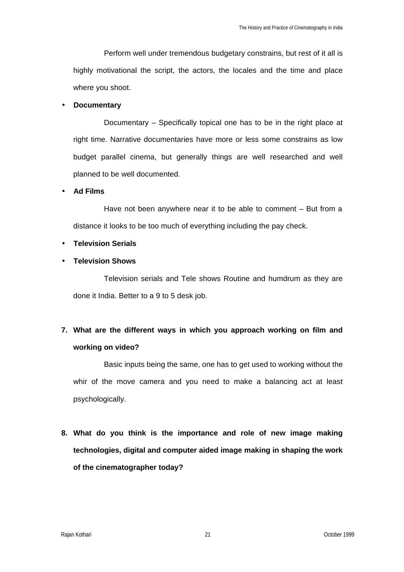Perform well under tremendous budgetary constrains, but rest of it all is highly motivational the script, the actors, the locales and the time and place where you shoot.

#### • **Documentary**

Documentary – Specifically topical one has to be in the right place at right time. Narrative documentaries have more or less some constrains as low budget parallel cinema, but generally things are well researched and well planned to be well documented.

• **Ad Films** 

Have not been anywhere near it to be able to comment – But from a distance it looks to be too much of everything including the pay check.

### • **Television Serials**

• **Television Shows**

Television serials and Tele shows Routine and humdrum as they are done it India. Better to a 9 to 5 desk job.

## **7. What are the different ways in which you approach working on film and working on video?**

Basic inputs being the same, one has to get used to working without the whir of the move camera and you need to make a balancing act at least psychologically.

**8. What do you think is the importance and role of new image making technologies, digital and computer aided image making in shaping the work of the cinematographer today?**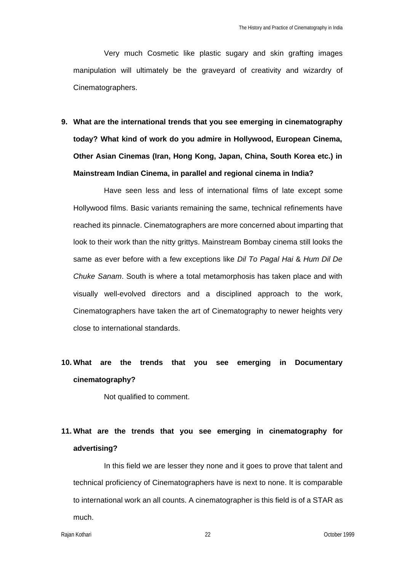Very much Cosmetic like plastic sugary and skin grafting images manipulation will ultimately be the graveyard of creativity and wizardry of Cinematographers.

**9. What are the international trends that you see emerging in cinematography today? What kind of work do you admire in Hollywood, European Cinema, Other Asian Cinemas (Iran, Hong Kong, Japan, China, South Korea etc.) in Mainstream Indian Cinema, in parallel and regional cinema in India?** 

Have seen less and less of international films of late except some Hollywood films. Basic variants remaining the same, technical refinements have reached its pinnacle. Cinematographers are more concerned about imparting that look to their work than the nitty grittys. Mainstream Bombay cinema still looks the same as ever before with a few exceptions like *Dil To Pagal Hai* & *Hum Dil De Chuke Sanam*. South is where a total metamorphosis has taken place and with visually well-evolved directors and a disciplined approach to the work, Cinematographers have taken the art of Cinematography to newer heights very close to international standards.

# **10. What are the trends that you see emerging in Documentary cinematography?**

Not qualified to comment.

# **11. What are the trends that you see emerging in cinematography for advertising?**

In this field we are lesser they none and it goes to prove that talent and technical proficiency of Cinematographers have is next to none. It is comparable to international work an all counts. A cinematographer is this field is of a STAR as much.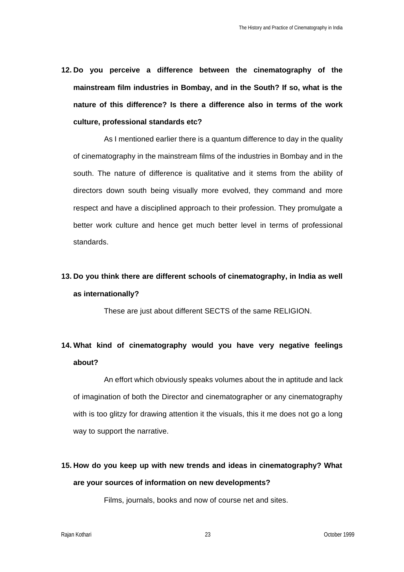**12. Do you perceive a difference between the cinematography of the mainstream film industries in Bombay, and in the South? If so, what is the nature of this difference? Is there a difference also in terms of the work culture, professional standards etc?** 

As I mentioned earlier there is a quantum difference to day in the quality of cinematography in the mainstream films of the industries in Bombay and in the south. The nature of difference is qualitative and it stems from the ability of directors down south being visually more evolved, they command and more respect and have a disciplined approach to their profession. They promulgate a better work culture and hence get much better level in terms of professional standards.

# **13. Do you think there are different schools of cinematography, in India as well as internationally?**

These are just about different SECTS of the same RELIGION.

# **14. What kind of cinematography would you have very negative feelings about?**

An effort which obviously speaks volumes about the in aptitude and lack of imagination of both the Director and cinematographer or any cinematography with is too glitzy for drawing attention it the visuals, this it me does not go a long way to support the narrative.

# **15. How do you keep up with new trends and ideas in cinematography? What are your sources of information on new developments?**

Films, journals, books and now of course net and sites.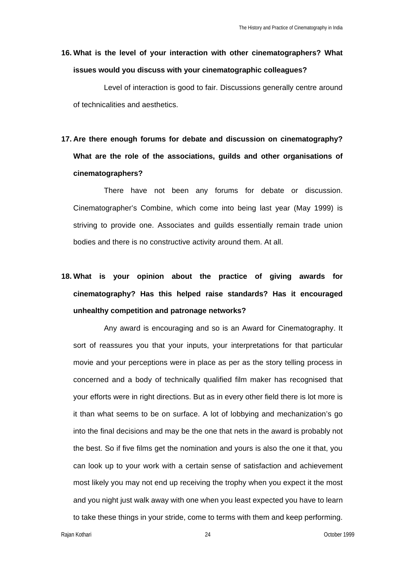## **16. What is the level of your interaction with other cinematographers? What issues would you discuss with your cinematographic colleagues?**

Level of interaction is good to fair. Discussions generally centre around of technicalities and aesthetics.

# **17. Are there enough forums for debate and discussion on cinematography? What are the role of the associations, guilds and other organisations of cinematographers?**

There have not been any forums for debate or discussion. Cinematographer's Combine, which come into being last year (May 1999) is striving to provide one. Associates and guilds essentially remain trade union bodies and there is no constructive activity around them. At all.

# **18. What is your opinion about the practice of giving awards for cinematography? Has this helped raise standards? Has it encouraged unhealthy competition and patronage networks?**

Any award is encouraging and so is an Award for Cinematography. It sort of reassures you that your inputs, your interpretations for that particular movie and your perceptions were in place as per as the story telling process in concerned and a body of technically qualified film maker has recognised that your efforts were in right directions. But as in every other field there is lot more is it than what seems to be on surface. A lot of lobbying and mechanization's go into the final decisions and may be the one that nets in the award is probably not the best. So if five films get the nomination and yours is also the one it that, you can look up to your work with a certain sense of satisfaction and achievement most likely you may not end up receiving the trophy when you expect it the most and you night just walk away with one when you least expected you have to learn to take these things in your stride, come to terms with them and keep performing.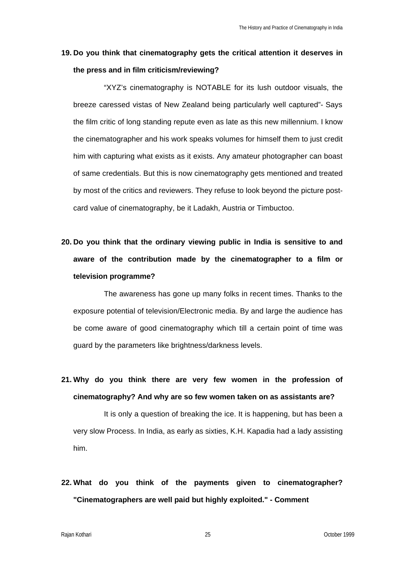### **19. Do you think that cinematography gets the critical attention it deserves in the press and in film criticism/reviewing?**

"XYZ's cinematography is NOTABLE for its lush outdoor visuals, the breeze caressed vistas of New Zealand being particularly well captured"- Says the film critic of long standing repute even as late as this new millennium. I know the cinematographer and his work speaks volumes for himself them to just credit him with capturing what exists as it exists. Any amateur photographer can boast of same credentials. But this is now cinematography gets mentioned and treated by most of the critics and reviewers. They refuse to look beyond the picture postcard value of cinematography, be it Ladakh, Austria or Timbuctoo.

# **20. Do you think that the ordinary viewing public in India is sensitive to and aware of the contribution made by the cinematographer to a film or television programme?**

The awareness has gone up many folks in recent times. Thanks to the exposure potential of television/Electronic media. By and large the audience has be come aware of good cinematography which till a certain point of time was guard by the parameters like brightness/darkness levels.

**21. Why do you think there are very few women in the profession of cinematography? And why are so few women taken on as assistants are?** 

It is only a question of breaking the ice. It is happening, but has been a very slow Process. In India, as early as sixties, K.H. Kapadia had a lady assisting him.

**22. What do you think of the payments given to cinematographer? "Cinematographers are well paid but highly exploited." - Comment**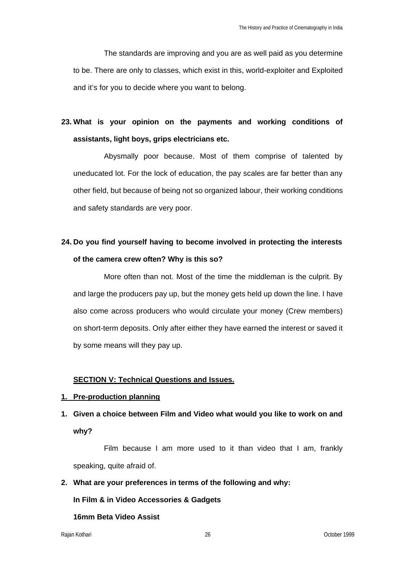The standards are improving and you are as well paid as you determine to be. There are only to classes, which exist in this, world-exploiter and Exploited and it's for you to decide where you want to belong.

# **23. What is your opinion on the payments and working conditions of assistants, light boys, grips electricians etc.**

Abysmally poor because. Most of them comprise of talented by uneducated lot. For the lock of education, the pay scales are far better than any other field, but because of being not so organized labour, their working conditions and safety standards are very poor.

# **24. Do you find yourself having to become involved in protecting the interests of the camera crew often? Why is this so?**

More often than not. Most of the time the middleman is the culprit. By and large the producers pay up, but the money gets held up down the line. I have also come across producers who would circulate your money (Crew members) on short-term deposits. Only after either they have earned the interest or saved it by some means will they pay up.

### **SECTION V: Technical Questions and Issues.**

### **1. Pre-production planning**

# **1. Given a choice between Film and Video what would you like to work on and why?**

Film because I am more used to it than video that I am, frankly speaking, quite afraid of.

### **2. What are your preferences in terms of the following and why:**

**In Film & in Video Accessories & Gadgets**

### **16mm Beta Video Assist**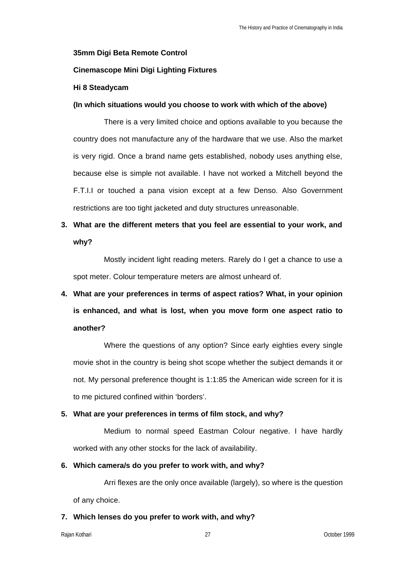### **35mm Digi Beta Remote Control**

### **Cinemascope Mini Digi Lighting Fixtures**

### **Hi 8 Steadycam**

### **(In which situations would you choose to work with which of the above)**

There is a very limited choice and options available to you because the country does not manufacture any of the hardware that we use. Also the market is very rigid. Once a brand name gets established, nobody uses anything else, because else is simple not available. I have not worked a Mitchell beyond the F.T.I.I or touched a pana vision except at a few Denso. Also Government restrictions are too tight jacketed and duty structures unreasonable.

### **3. What are the different meters that you feel are essential to your work, and why?**

Mostly incident light reading meters. Rarely do I get a chance to use a spot meter. Colour temperature meters are almost unheard of.

# **4. What are your preferences in terms of aspect ratios? What, in your opinion is enhanced, and what is lost, when you move form one aspect ratio to another?**

Where the questions of any option? Since early eighties every single movie shot in the country is being shot scope whether the subject demands it or not. My personal preference thought is 1:1:85 the American wide screen for it is to me pictured confined within 'borders'.

### **5. What are your preferences in terms of film stock, and why?**

Medium to normal speed Eastman Colour negative. I have hardly worked with any other stocks for the lack of availability.

### **6. Which camera/s do you prefer to work with, and why?**

Arri flexes are the only once available (largely), so where is the question of any choice.

### **7. Which lenses do you prefer to work with, and why?**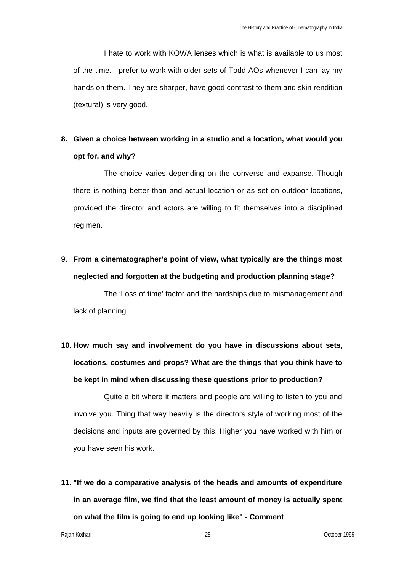I hate to work with KOWA lenses which is what is available to us most of the time. I prefer to work with older sets of Todd AOs whenever I can lay my hands on them. They are sharper, have good contrast to them and skin rendition (textural) is very good.

# **8. Given a choice between working in a studio and a location, what would you opt for, and why?**

The choice varies depending on the converse and expanse. Though there is nothing better than and actual location or as set on outdoor locations, provided the director and actors are willing to fit themselves into a disciplined regimen.

# 9. **From a cinematographer's point of view, what typically are the things most neglected and forgotten at the budgeting and production planning stage?**

The 'Loss of time' factor and the hardships due to mismanagement and lack of planning.

# **10. How much say and involvement do you have in discussions about sets, locations, costumes and props? What are the things that you think have to be kept in mind when discussing these questions prior to production?**

Quite a bit where it matters and people are willing to listen to you and involve you. Thing that way heavily is the directors style of working most of the decisions and inputs are governed by this. Higher you have worked with him or you have seen his work.

**11. "If we do a comparative analysis of the heads and amounts of expenditure in an average film, we find that the least amount of money is actually spent on what the film is going to end up looking like" - Comment** 

Rajan Kothari 28 October 1999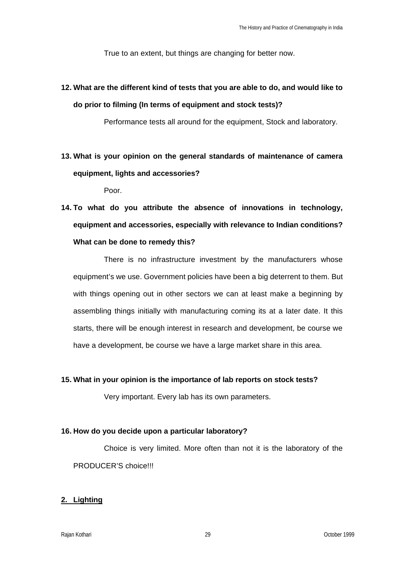True to an extent, but things are changing for better now.

**12. What are the different kind of tests that you are able to do, and would like to do prior to filming (In terms of equipment and stock tests)?** 

Performance tests all around for the equipment, Stock and laboratory.

**13. What is your opinion on the general standards of maintenance of camera equipment, lights and accessories?** 

Poor.

**14. To what do you attribute the absence of innovations in technology, equipment and accessories, especially with relevance to Indian conditions? What can be done to remedy this?** 

There is no infrastructure investment by the manufacturers whose equipment's we use. Government policies have been a big deterrent to them. But with things opening out in other sectors we can at least make a beginning by assembling things initially with manufacturing coming its at a later date. It this starts, there will be enough interest in research and development, be course we have a development, be course we have a large market share in this area.

### **15. What in your opinion is the importance of lab reports on stock tests?**

Very important. Every lab has its own parameters.

### **16. How do you decide upon a particular laboratory?**

Choice is very limited. More often than not it is the laboratory of the PRODUCER'S choice!!!

### **2. Lighting**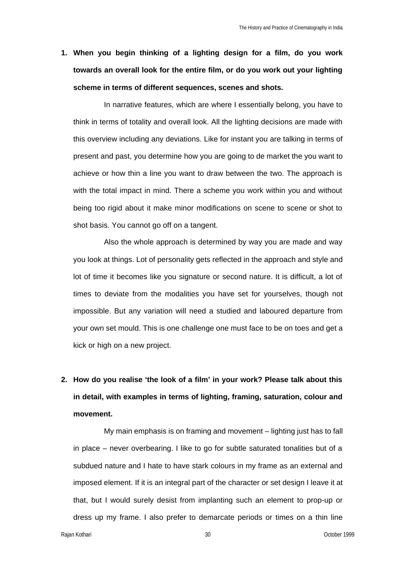**1. When you begin thinking of a lighting design for a film, do you work towards an overall look for the entire film, or do you work out your lighting scheme in terms of different sequences, scenes and shots.** 

In narrative features, which are where I essentially belong, you have to think in terms of totality and overall look. All the lighting decisions are made with this overview including any deviations. Like for instant you are talking in terms of present and past, you determine how you are going to de market the you want to achieve or how thin a line you want to draw between the two. The approach is with the total impact in mind. There a scheme you work within you and without being too rigid about it make minor modifications on scene to scene or shot to shot basis. You cannot go off on a tangent.

Also the whole approach is determined by way you are made and way you look at things. Lot of personality gets reflected in the approach and style and lot of time it becomes like you signature or second nature. It is difficult, a lot of times to deviate from the modalities you have set for yourselves, though not impossible. But any variation will need a studied and laboured departure from your own set mould. This is one challenge one must face to be on toes and get a kick or high on a new project.

**2. How do you realise 'the look of a film' in your work? Please talk about this in detail, with examples in terms of lighting, framing, saturation, colour and movement.** 

My main emphasis is on framing and movement – lighting just has to fall in place – never overbearing. I like to go for subtle saturated tonalities but of a subdued nature and I hate to have stark colours in my frame as an external and imposed element. If it is an integral part of the character or set design I leave it at that, but I would surely desist from implanting such an element to prop-up or dress up my frame. I also prefer to demarcate periods or times on a thin line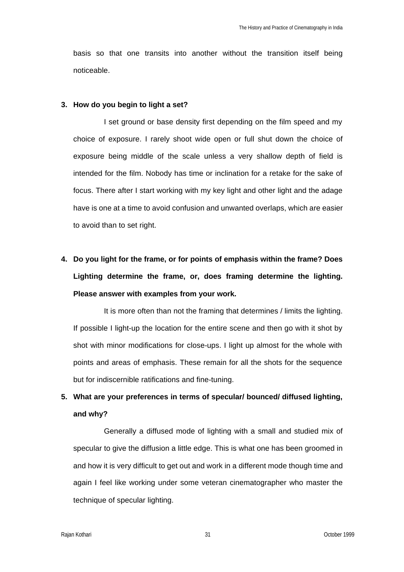basis so that one transits into another without the transition itself being noticeable.

### **3. How do you begin to light a set?**

I set ground or base density first depending on the film speed and my choice of exposure. I rarely shoot wide open or full shut down the choice of exposure being middle of the scale unless a very shallow depth of field is intended for the film. Nobody has time or inclination for a retake for the sake of focus. There after I start working with my key light and other light and the adage have is one at a time to avoid confusion and unwanted overlaps, which are easier to avoid than to set right.

**4. Do you light for the frame, or for points of emphasis within the frame? Does Lighting determine the frame, or, does framing determine the lighting. Please answer with examples from your work.**

It is more often than not the framing that determines / limits the lighting. If possible I light-up the location for the entire scene and then go with it shot by shot with minor modifications for close-ups. I light up almost for the whole with points and areas of emphasis. These remain for all the shots for the sequence but for indiscernible ratifications and fine-tuning.

# **5. What are your preferences in terms of specular/ bounced/ diffused lighting, and why?**

Generally a diffused mode of lighting with a small and studied mix of specular to give the diffusion a little edge. This is what one has been groomed in and how it is very difficult to get out and work in a different mode though time and again I feel like working under some veteran cinematographer who master the technique of specular lighting.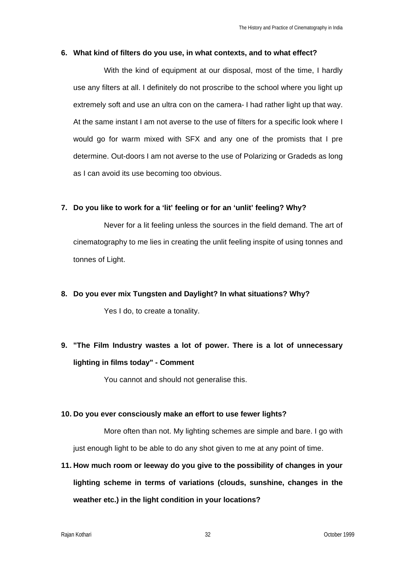### **6. What kind of filters do you use, in what contexts, and to what effect?**

With the kind of equipment at our disposal, most of the time, I hardly use any filters at all. I definitely do not proscribe to the school where you light up extremely soft and use an ultra con on the camera- I had rather light up that way. At the same instant I am not averse to the use of filters for a specific look where I would go for warm mixed with SFX and any one of the promists that I pre determine. Out-doors I am not averse to the use of Polarizing or Gradeds as long as I can avoid its use becoming too obvious.

### **7. Do you like to work for a 'lit' feeling or for an 'unlit' feeling? Why?**

Never for a lit feeling unless the sources in the field demand. The art of cinematography to me lies in creating the unlit feeling inspite of using tonnes and tonnes of Light.

### **8. Do you ever mix Tungsten and Daylight? In what situations? Why?**

Yes I do, to create a tonality.

# **9. "The Film Industry wastes a lot of power. There is a lot of unnecessary lighting in films today" - Comment**

You cannot and should not generalise this.

### **10. Do you ever consciously make an effort to use fewer lights?**

More often than not. My lighting schemes are simple and bare. I go with just enough light to be able to do any shot given to me at any point of time.

**11. How much room or leeway do you give to the possibility of changes in your lighting scheme in terms of variations (clouds, sunshine, changes in the weather etc.) in the light condition in your locations?**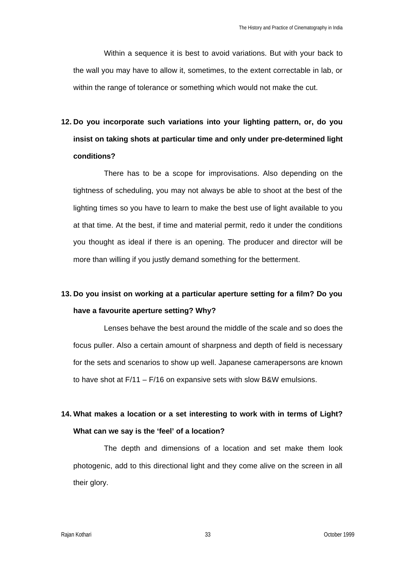Within a sequence it is best to avoid variations. But with your back to the wall you may have to allow it, sometimes, to the extent correctable in lab, or within the range of tolerance or something which would not make the cut.

**12. Do you incorporate such variations into your lighting pattern, or, do you insist on taking shots at particular time and only under pre-determined light conditions?** 

There has to be a scope for improvisations. Also depending on the tightness of scheduling, you may not always be able to shoot at the best of the lighting times so you have to learn to make the best use of light available to you at that time. At the best, if time and material permit, redo it under the conditions you thought as ideal if there is an opening. The producer and director will be more than willing if you justly demand something for the betterment.

## **13. Do you insist on working at a particular aperture setting for a film? Do you have a favourite aperture setting? Why?**

Lenses behave the best around the middle of the scale and so does the focus puller. Also a certain amount of sharpness and depth of field is necessary for the sets and scenarios to show up well. Japanese camerapersons are known to have shot at F/11 – F/16 on expansive sets with slow B&W emulsions.

# **14. What makes a location or a set interesting to work with in terms of Light? What can we say is the 'feel' of a location?**

The depth and dimensions of a location and set make them look photogenic, add to this directional light and they come alive on the screen in all their glory.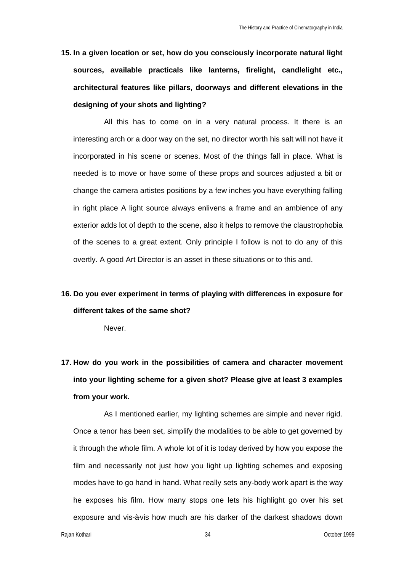**15. In a given location or set, how do you consciously incorporate natural light sources, available practicals like lanterns, firelight, candlelight etc., architectural features like pillars, doorways and different elevations in the designing of your shots and lighting?** 

All this has to come on in a very natural process. It there is an interesting arch or a door way on the set, no director worth his salt will not have it incorporated in his scene or scenes. Most of the things fall in place. What is needed is to move or have some of these props and sources adjusted a bit or change the camera artistes positions by a few inches you have everything falling in right place A light source always enlivens a frame and an ambience of any exterior adds lot of depth to the scene, also it helps to remove the claustrophobia of the scenes to a great extent. Only principle I follow is not to do any of this overtly. A good Art Director is an asset in these situations or to this and.

## **16. Do you ever experiment in terms of playing with differences in exposure for different takes of the same shot?**

Never.

**17. How do you work in the possibilities of camera and character movement into your lighting scheme for a given shot? Please give at least 3 examples from your work.** 

As I mentioned earlier, my lighting schemes are simple and never rigid. Once a tenor has been set, simplify the modalities to be able to get governed by it through the whole film. A whole lot of it is today derived by how you expose the film and necessarily not just how you light up lighting schemes and exposing modes have to go hand in hand. What really sets any-body work apart is the way he exposes his film. How many stops one lets his highlight go over his set exposure and vis-à-vis how much are his darker of the darkest shadows down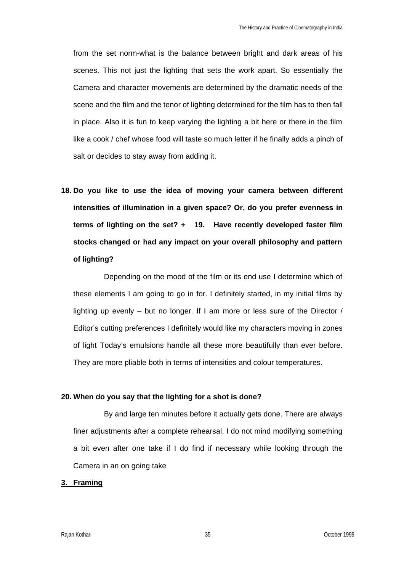from the set norm-what is the balance between bright and dark areas of his scenes. This not just the lighting that sets the work apart. So essentially the Camera and character movements are determined by the dramatic needs of the scene and the film and the tenor of lighting determined for the film has to then fall in place. Also it is fun to keep varying the lighting a bit here or there in the film like a cook / chef whose food will taste so much letter if he finally adds a pinch of salt or decides to stay away from adding it.

**18. Do you like to use the idea of moving your camera between different intensities of illumination in a given space? Or, do you prefer evenness in terms of lighting on the set? + 19. Have recently developed faster film stocks changed or had any impact on your overall philosophy and pattern of lighting?** 

Depending on the mood of the film or its end use I determine which of these elements I am going to go in for. I definitely started, in my initial films by lighting up evenly – but no longer. If I am more or less sure of the Director / Editor's cutting preferences I definitely would like my characters moving in zones of light Today's emulsions handle all these more beautifully than ever before. They are more pliable both in terms of intensities and colour temperatures.

### **20. When do you say that the lighting for a shot is done?**

By and large ten minutes before it actually gets done. There are always finer adjustments after a complete rehearsal. I do not mind modifying something a bit even after one take if I do find if necessary while looking through the Camera in an on going take

#### **3. Framing**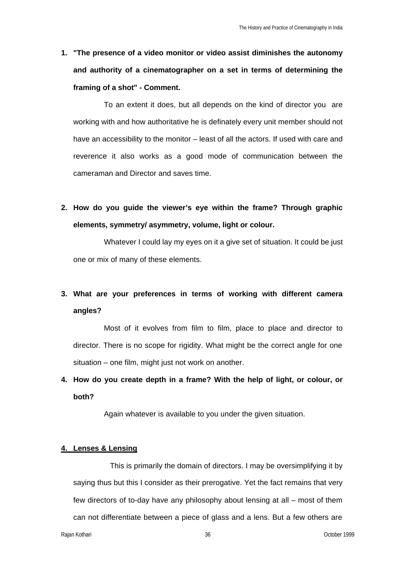**1. "The presence of a video monitor or video assist diminishes the autonomy and authority of a cinematographer on a set in terms of determining the framing of a shot" - Comment.** 

To an extent it does, but all depends on the kind of director you are working with and how authoritative he is definately every unit member should not have an accessibility to the monitor – least of all the actors. If used with care and reverence it also works as a good mode of communication between the cameraman and Director and saves time.

**2. How do you guide the viewer's eye within the frame? Through graphic elements, symmetry/ asymmetry, volume, light or colour.**

Whatever I could lay my eyes on it a give set of situation. It could be just one or mix of many of these elements.

# **3. What are your preferences in terms of working with different camera angles?**

Most of it evolves from film to film, place to place and director to director. There is no scope for rigidity. What might be the correct angle for one situation – one film, might just not work on another.

**4. How do you create depth in a frame? With the help of light, or colour, or both?**

Again whatever is available to you under the given situation.

### **4. Lenses & Lensing**

This is primarily the domain of directors. I may be oversimplifying it by saying thus but this I consider as their prerogative. Yet the fact remains that very few directors of to-day have any philosophy about lensing at all – most of them can not differentiate between a piece of glass and a lens. But a few others are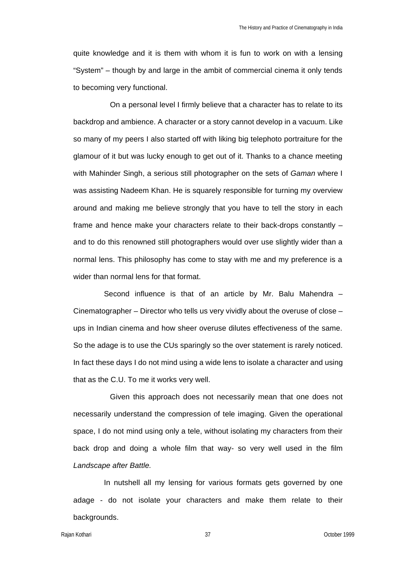quite knowledge and it is them with whom it is fun to work on with a lensing "System" – though by and large in the ambit of commercial cinema it only tends to becoming very functional.

On a personal level I firmly believe that a character has to relate to its backdrop and ambience. A character or a story cannot develop in a vacuum. Like so many of my peers I also started off with liking big telephoto portraiture for the glamour of it but was lucky enough to get out of it. Thanks to a chance meeting with Mahinder Singh, a serious still photographer on the sets of *Gaman* where I was assisting Nadeem Khan. He is squarely responsible for turning my overview around and making me believe strongly that you have to tell the story in each frame and hence make your characters relate to their back-drops constantly – and to do this renowned still photographers would over use slightly wider than a normal lens. This philosophy has come to stay with me and my preference is a wider than normal lens for that format.

Second influence is that of an article by Mr. Balu Mahendra – Cinematographer – Director who tells us very vividly about the overuse of close – ups in Indian cinema and how sheer overuse dilutes effectiveness of the same. So the adage is to use the CUs sparingly so the over statement is rarely noticed. In fact these days I do not mind using a wide lens to isolate a character and using that as the C.U. To me it works very well.

Given this approach does not necessarily mean that one does not necessarily understand the compression of tele imaging. Given the operational space, I do not mind using only a tele, without isolating my characters from their back drop and doing a whole film that way- so very well used in the film *Landscape after Battle.*

In nutshell all my lensing for various formats gets governed by one adage - do not isolate your characters and make them relate to their backgrounds.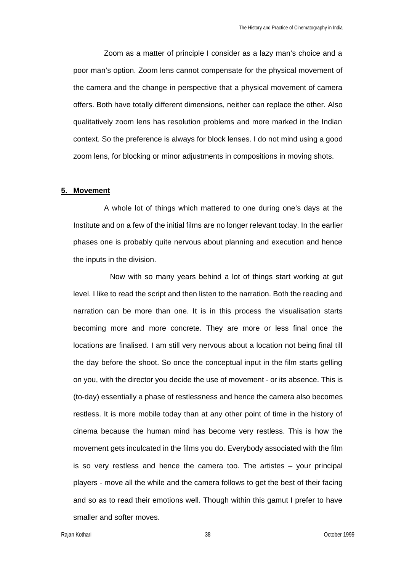Zoom as a matter of principle I consider as a lazy man's choice and a poor man's option. Zoom lens cannot compensate for the physical movement of the camera and the change in perspective that a physical movement of camera offers. Both have totally different dimensions, neither can replace the other. Also qualitatively zoom lens has resolution problems and more marked in the Indian context. So the preference is always for block lenses. I do not mind using a good zoom lens, for blocking or minor adjustments in compositions in moving shots.

#### **5. Movement**

A whole lot of things which mattered to one during one's days at the Institute and on a few of the initial films are no longer relevant today. In the earlier phases one is probably quite nervous about planning and execution and hence the inputs in the division.

Now with so many years behind a lot of things start working at gut level. I like to read the script and then listen to the narration. Both the reading and narration can be more than one. It is in this process the visualisation starts becoming more and more concrete. They are more or less final once the locations are finalised. I am still very nervous about a location not being final till the day before the shoot. So once the conceptual input in the film starts gelling on you, with the director you decide the use of movement - or its absence. This is (to-day) essentially a phase of restlessness and hence the camera also becomes restless. It is more mobile today than at any other point of time in the history of cinema because the human mind has become very restless. This is how the movement gets inculcated in the films you do. Everybody associated with the film is so very restless and hence the camera too. The artistes – your principal players - move all the while and the camera follows to get the best of their facing and so as to read their emotions well. Though within this gamut I prefer to have smaller and softer moves.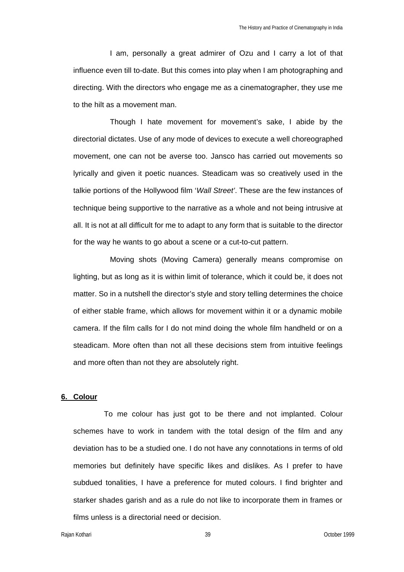I am, personally a great admirer of Ozu and I carry a lot of that influence even till to-date. But this comes into play when I am photographing and directing. With the directors who engage me as a cinematographer, they use me to the hilt as a movement man.

Though I hate movement for movement's sake, I abide by the directorial dictates. Use of any mode of devices to execute a well choreographed movement, one can not be averse too. Jansco has carried out movements so lyrically and given it poetic nuances. Steadicam was so creatively used in the talkie portions of the Hollywood film '*Wall Street'*. These are the few instances of technique being supportive to the narrative as a whole and not being intrusive at all. It is not at all difficult for me to adapt to any form that is suitable to the director for the way he wants to go about a scene or a cut-to-cut pattern.

Moving shots (Moving Camera) generally means compromise on lighting, but as long as it is within limit of tolerance, which it could be, it does not matter. So in a nutshell the director's style and story telling determines the choice of either stable frame, which allows for movement within it or a dynamic mobile camera. If the film calls for I do not mind doing the whole film handheld or on a steadicam. More often than not all these decisions stem from intuitive feelings and more often than not they are absolutely right.

### **6. Colour**

To me colour has just got to be there and not implanted. Colour schemes have to work in tandem with the total design of the film and any deviation has to be a studied one. I do not have any connotations in terms of old memories but definitely have specific likes and dislikes. As I prefer to have subdued tonalities, I have a preference for muted colours. I find brighter and starker shades garish and as a rule do not like to incorporate them in frames or films unless is a directorial need or decision.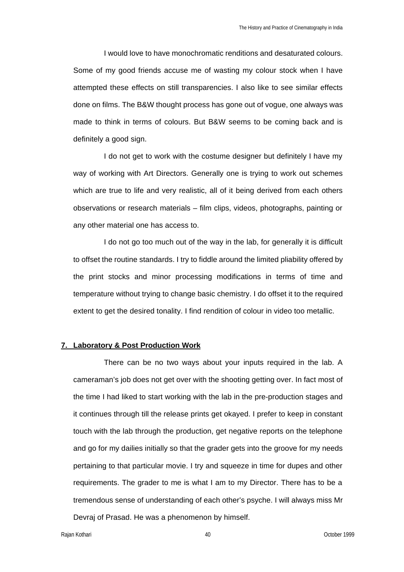I would love to have monochromatic renditions and desaturated colours. Some of my good friends accuse me of wasting my colour stock when I have attempted these effects on still transparencies. I also like to see similar effects done on films. The B&W thought process has gone out of vogue, one always was made to think in terms of colours. But B&W seems to be coming back and is definitely a good sign.

I do not get to work with the costume designer but definitely I have my way of working with Art Directors. Generally one is trying to work out schemes which are true to life and very realistic, all of it being derived from each others observations or research materials – film clips, videos, photographs, painting or any other material one has access to.

I do not go too much out of the way in the lab, for generally it is difficult to offset the routine standards. I try to fiddle around the limited pliability offered by the print stocks and minor processing modifications in terms of time and temperature without trying to change basic chemistry. I do offset it to the required extent to get the desired tonality. I find rendition of colour in video too metallic.

#### **7. Laboratory & Post Production Work**

There can be no two ways about your inputs required in the lab. A cameraman's job does not get over with the shooting getting over. In fact most of the time I had liked to start working with the lab in the pre-production stages and it continues through till the release prints get okayed. I prefer to keep in constant touch with the lab through the production, get negative reports on the telephone and go for my dailies initially so that the grader gets into the groove for my needs pertaining to that particular movie. I try and squeeze in time for dupes and other requirements. The grader to me is what I am to my Director. There has to be a tremendous sense of understanding of each other's psyche. I will always miss Mr Devraj of Prasad. He was a phenomenon by himself.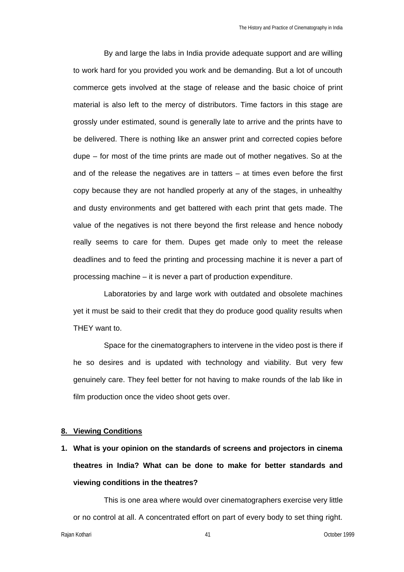By and large the labs in India provide adequate support and are willing to work hard for you provided you work and be demanding. But a lot of uncouth commerce gets involved at the stage of release and the basic choice of print material is also left to the mercy of distributors. Time factors in this stage are grossly under estimated, sound is generally late to arrive and the prints have to be delivered. There is nothing like an answer print and corrected copies before dupe – for most of the time prints are made out of mother negatives. So at the and of the release the negatives are in tatters – at times even before the first copy because they are not handled properly at any of the stages, in unhealthy and dusty environments and get battered with each print that gets made. The value of the negatives is not there beyond the first release and hence nobody really seems to care for them. Dupes get made only to meet the release deadlines and to feed the printing and processing machine it is never a part of processing machine – it is never a part of production expenditure.

Laboratories by and large work with outdated and obsolete machines yet it must be said to their credit that they do produce good quality results when THEY want to.

Space for the cinematographers to intervene in the video post is there if he so desires and is updated with technology and viability. But very few genuinely care. They feel better for not having to make rounds of the lab like in film production once the video shoot gets over.

### **8. Viewing Conditions**

**1. What is your opinion on the standards of screens and projectors in cinema theatres in India? What can be done to make for better standards and viewing conditions in the theatres?** 

This is one area where would over cinematographers exercise very little or no control at all. A concentrated effort on part of every body to set thing right.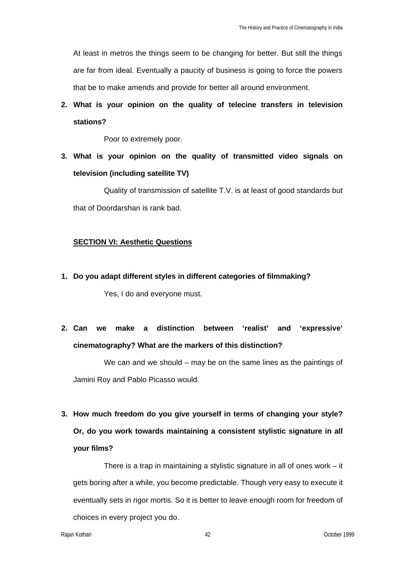At least in metros the things seem to be changing for better. But still the things are far from ideal. Eventually a paucity of business is going to force the powers that be to make amends and provide for better all around environment.

# **2. What is your opinion on the quality of telecine transfers in television stations?**

Poor to extremely poor.

**3. What is your opinion on the quality of transmitted video signals on television (including satellite TV)**

Quality of transmission of satellite T.V. is at least of good standards but that of Doordarshan is rank bad.

### **SECTION VI: Aesthetic Questions**

**1. Do you adapt different styles in different categories of filmmaking?** 

Yes, I do and everyone must.

**2. Can we make a distinction between 'realist' and 'expressive' cinematography? What are the markers of this distinction?** 

We can and we should – may be on the same lines as the paintings of Jamini Roy and Pablo Picasso would.

**3. How much freedom do you give yourself in terms of changing your style? Or, do you work towards maintaining a consistent stylistic signature in all your films?** 

There is a trap in maintaining a stylistic signature in all of ones work – it gets boring after a while, you become predictable. Though very easy to execute it eventually sets in rigor mortis. So it is better to leave enough room for freedom of choices in every project you do.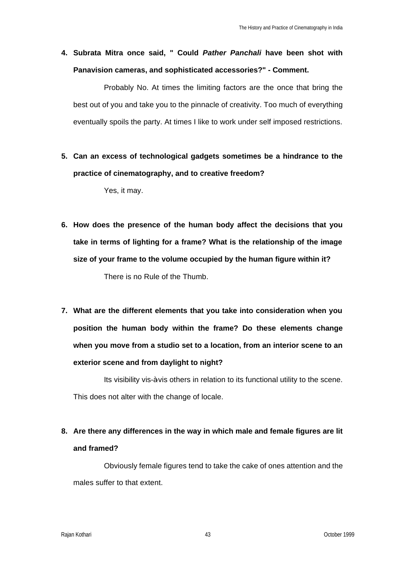# **4. Subrata Mitra once said, " Could** *Pather Panchali* **have been shot with Panavision cameras, and sophisticated accessories?" - Comment.**

Probably No. At times the limiting factors are the once that bring the best out of you and take you to the pinnacle of creativity. Too much of everything eventually spoils the party. At times I like to work under self imposed restrictions.

**5. Can an excess of technological gadgets sometimes be a hindrance to the practice of cinematography, and to creative freedom?** 

Yes, it may.

- **6. How does the presence of the human body affect the decisions that you take in terms of lighting for a frame? What is the relationship of the image size of your frame to the volume occupied by the human figure within it?**  There is no Rule of the Thumb.
- **7. What are the different elements that you take into consideration when you position the human body within the frame? Do these elements change when you move from a studio set to a location, from an interior scene to an exterior scene and from daylight to night?**

Its visibility vis-àvis others in relation to its functional utility to the scene. This does not alter with the change of locale.

## **8. Are there any differences in the way in which male and female figures are lit and framed?**

Obviously female figures tend to take the cake of ones attention and the males suffer to that extent.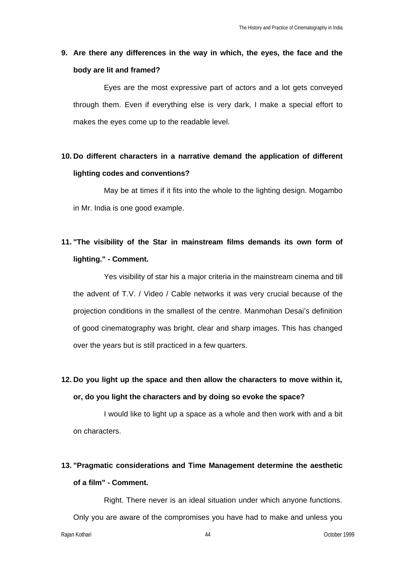## **9. Are there any differences in the way in which, the eyes, the face and the body are lit and framed?**

Eyes are the most expressive part of actors and a lot gets conveyed through them. Even if everything else is very dark, I make a special effort to makes the eyes come up to the readable level.

## **10. Do different characters in a narrative demand the application of different lighting codes and conventions?**

May be at times if it fits into the whole to the lighting design. Mogambo in Mr. India is one good example.

# **11. "The visibility of the Star in mainstream films demands its own form of lighting." - Comment.**

Yes visibility of star his a major criteria in the mainstream cinema and till the advent of T.V. / Video / Cable networks it was very crucial because of the projection conditions in the smallest of the centre. Manmohan Desai's definition of good cinematography was bright, clear and sharp images. This has changed over the years but is still practiced in a few quarters.

## **12. Do you light up the space and then allow the characters to move within it, or, do you light the characters and by doing so evoke the space?**

I would like to light up a space as a whole and then work with and a bit on characters.

# **13. "Pragmatic considerations and Time Management determine the aesthetic of a film" - Comment.**

Right. There never is an ideal situation under which anyone functions. Only you are aware of the compromises you have had to make and unless you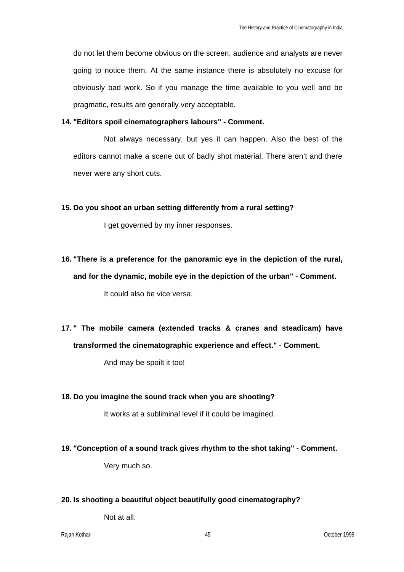do not let them become obvious on the screen, audience and analysts are never going to notice them. At the same instance there is absolutely no excuse for obviously bad work. So if you manage the time available to you well and be pragmatic, results are generally very acceptable.

### **14. "Editors spoil cinematographers labours" - Comment.**

Not always necessary, but yes it can happen. Also the best of the editors cannot make a scene out of badly shot material. There aren't and there never were any short cuts.

### **15. Do you shoot an urban setting differently from a rural setting?**

I get governed by my inner responses.

**16. "There is a preference for the panoramic eye in the depiction of the rural, and for the dynamic, mobile eye in the depiction of the urban" - Comment.** 

It could also be vice versa.

**17. " The mobile camera (extended tracks & cranes and steadicam) have transformed the cinematographic experience and effect." - Comment.** 

And may be spoilt it too!

### **18. Do you imagine the sound track when you are shooting?**

It works at a subliminal level if it could be imagined.

### **19. "Conception of a sound track gives rhythm to the shot taking" - Comment.**

Very much so.

### **20. Is shooting a beautiful object beautifully good cinematography?**

Not at all.

Rajan Kothari 45 October 1999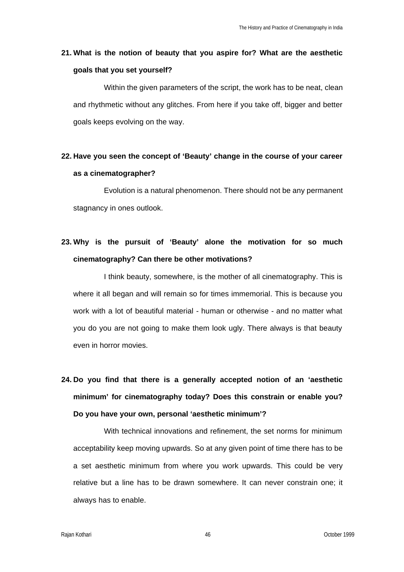## **21. What is the notion of beauty that you aspire for? What are the aesthetic goals that you set yourself?**

Within the given parameters of the script, the work has to be neat, clean and rhythmetic without any glitches. From here if you take off, bigger and better goals keeps evolving on the way.

## **22. Have you seen the concept of 'Beauty' change in the course of your career as a cinematographer?**

Evolution is a natural phenomenon. There should not be any permanent stagnancy in ones outlook.

# **23. Why is the pursuit of 'Beauty' alone the motivation for so much cinematography? Can there be other motivations?**

I think beauty, somewhere, is the mother of all cinematography. This is where it all began and will remain so for times immemorial. This is because you work with a lot of beautiful material - human or otherwise - and no matter what you do you are not going to make them look ugly. There always is that beauty even in horror movies.

# **24. Do you find that there is a generally accepted notion of an 'aesthetic minimum' for cinematography today? Does this constrain or enable you? Do you have your own, personal 'aesthetic minimum'?**

With technical innovations and refinement, the set norms for minimum acceptability keep moving upwards. So at any given point of time there has to be a set aesthetic minimum from where you work upwards. This could be very relative but a line has to be drawn somewhere. It can never constrain one; it always has to enable.